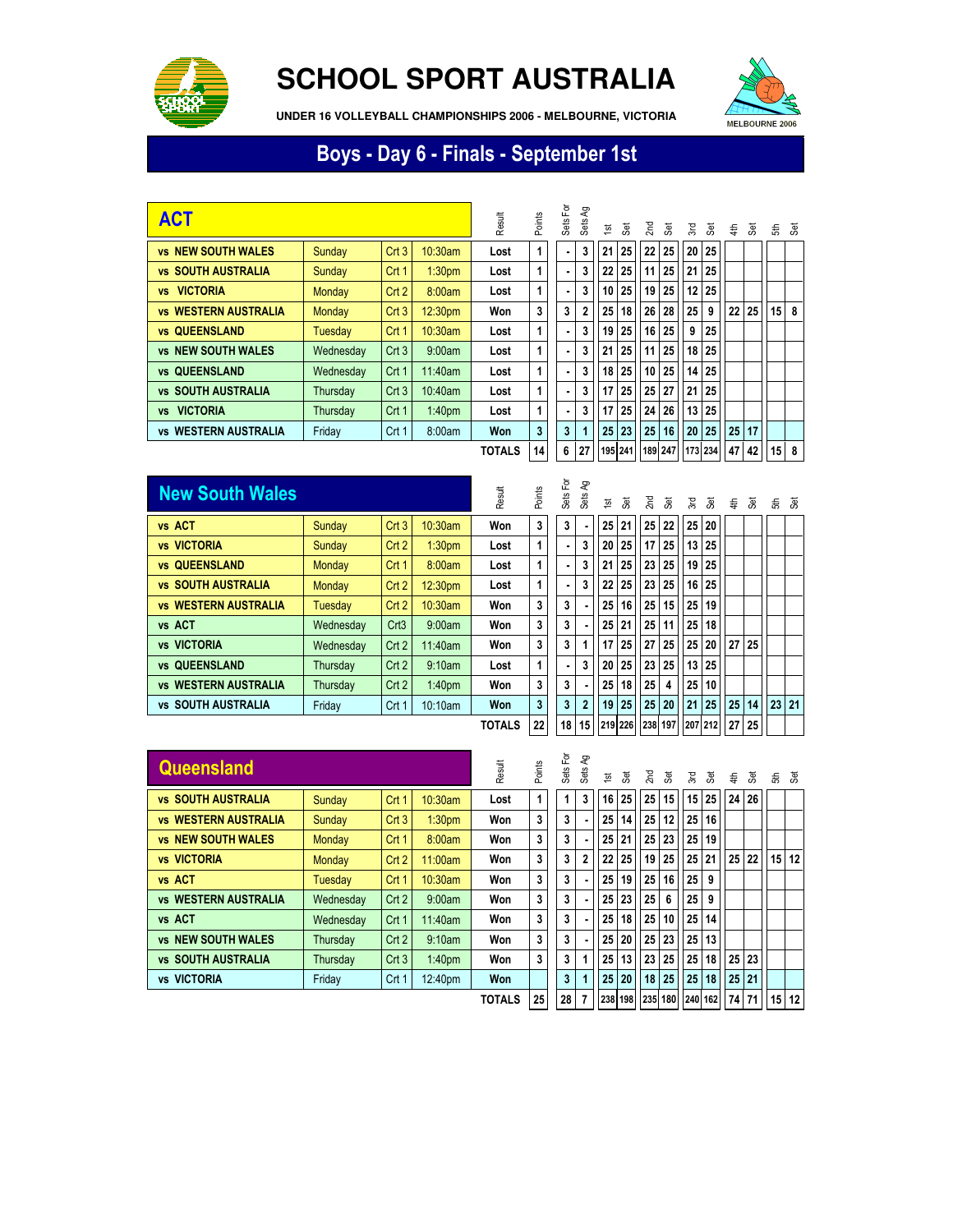

## **SCHOOL SPORT AUSTRALIA**

**UNDER 16 VOLLEYBALL CHAMPIONSHIPS 2006 - MELBOURNE, VICTORIA**



## Boys - Day 6 - Finals - September 1st

| <b>ACT</b>                   |           |       |                    | Result        | Points | Sets For | ΡÅ<br>Sets | 흐               | æ,              | 2nd | 3                       | Σď              | ਲ਼ | €               | हैं   |    | ಕೆ ತ         |
|------------------------------|-----------|-------|--------------------|---------------|--------|----------|------------|-----------------|-----------------|-----|-------------------------|-----------------|----|-----------------|-------|----|--------------|
| <b>vs NEW SOUTH WALES</b>    | Sunday    | Crt3  | 10:30am            | Lost          | 1      | ٠        | 3          | 21              | 25              | 22  | 25                      | 20              | 25 |                 |       |    |              |
| <b>vs SOUTH AUSTRALIA</b>    | Sunday    | Crt1  | 1:30 <sub>pm</sub> | Lost          | 1      | ٠        |            | 22              | 25 <sub>1</sub> | 11  | 25                      | 21              | 25 |                 |       |    |              |
| <b>VICTORIA</b><br><b>VS</b> | Monday    | Crt2  | 8:00am             | Lost          | 1      | ٠.       | 3          | 10              | 25 <sub>1</sub> | 19  | 25                      | 12 <sup>°</sup> | 25 |                 |       |    |              |
| <b>vs WESTERN AUSTRALIA</b>  | Monday    | Crt3  | 12:30pm            | Won           | 3      | 3        |            | 25              | 18 I            | 26  | 28                      | 25 <sub>1</sub> | 9  | 22 <sup>2</sup> | 25    | 15 | - 8          |
| <b>vs QUEENSLAND</b>         | Tuesday   | Crt1  | 10:30am            | Lost          | 1      | ۰        | 3          | 19              | 25 <sub>1</sub> | 16  | 25                      | 9               | 25 |                 |       |    |              |
| <b>vs NEW SOUTH WALES</b>    | Wednesday | Crt3  | 9:00am             | Lost          | 1      | ٠        | 3          | 21              | 25              | 11  | 25                      | 18              | 25 |                 |       |    |              |
| <b>vs QUEENSLAND</b>         | Wednesday | Crt 1 | 11:40am            | Lost          | 1      | ٠        | 3          | 18              | 25 <sub>1</sub> | 10  | 25                      | 14              | 25 |                 |       |    |              |
| <b>vs SOUTH AUSTRALIA</b>    | Thursday  | Crt3  | $10:40$ am         | Lost          | 1      |          | 3          | 17              | 25              | 25  | 27                      | 21              | 25 |                 |       |    |              |
| <b>VICTORIA</b><br><b>VS</b> | Thursday  | Crt 1 | 1:40 <sub>pm</sub> | Lost          | 1      | ۰        | 3          | 17              | 25              | 24  | 26                      | 13              | 25 |                 |       |    |              |
| <b>vs WESTERN AUSTRALIA</b>  | Friday    | Crt1  | 8:00am             | Won           | 3      | 3        |            | 25 <sup>1</sup> | 23              | 25  | 16                      | 20 <sup>1</sup> | 25 | 25              | 17    |    |              |
|                              |           |       |                    | <b>TOTALS</b> | 14     | 6        | 27         |                 |                 |     | 195 241 189 247 173 234 |                 |    |                 | 47 42 |    | $15 \quad 8$ |

| <b>New South Wales</b>      |               |                  |                    | Result        | Points         | Sets For        | දි<br>Sets     | <u>ist</u>      | हैं, | 2 <sub>nd</sub> | हैं,            | λÄ, | हैं,            |    | $\ddagger$ $\ddot{s}$ |       | £ a |
|-----------------------------|---------------|------------------|--------------------|---------------|----------------|-----------------|----------------|-----------------|------|-----------------|-----------------|-----|-----------------|----|-----------------------|-------|-----|
| vs ACT                      | Sunday        | Crt3             | $10:30$ am         | Won           | 3              | 3               |                | 25              | 21   | 25 <sub>1</sub> | 22              | 25  | 20              |    |                       |       |     |
| <b>vs VICTORIA</b>          | Sunday        | Crt2             | 1:30 <sub>pm</sub> | Lost          | 1              | $\blacksquare$  | 3              | 20              | 25   | 17 <sup>1</sup> | 25 <sub>1</sub> | 13  | 25              |    |                       |       |     |
| <b>vs QUEENSLAND</b>        | Monday        | Crt 1            | 8:00am             | Lost          | 1              | $\blacksquare$  | 3              | 21              | 25   | 23 <sup>1</sup> | 25 <sub>1</sub> | 19  | 25              |    |                       |       |     |
| <b>vs SOUTH AUSTRALIA</b>   | <b>Monday</b> | Crt <sub>2</sub> | 12:30pm            | Lost          | 1              | $\blacksquare$  | 3              | 22              | 25   | 23 <sup>1</sup> | 25 <sub>1</sub> | 16  | 25              |    |                       |       |     |
| <b>vs WESTERN AUSTRALIA</b> | Tuesday       | Crt2             | 10:30am            | Won           | 3              | 3               |                | 25              | 16   | 25 <sub>1</sub> | 15              | 25  | 19              |    |                       |       |     |
| vs ACT                      | Wednesday     | Crt3             | 9:00am             | Won           | 3              | 3               |                | 25              | 21   | 25 <sup>1</sup> | 11              | 25  | 18              |    |                       |       |     |
| <b>vs VICTORIA</b>          | Wednesday     | Crt2             | 11:40am            | Won           | 3              | 3               |                | 17              | 25   | 27              | 25              | 25  | 20              | 27 | 25                    |       |     |
| <b>vs QUEENSLAND</b>        | Thursday      | Crt2             | 9:10am             | Lost          | 1              | $\blacksquare$  | 3              | 20 <sup>1</sup> | 25   | 23 <sup>1</sup> | 25 <sub>1</sub> | 13  | 25              |    |                       |       |     |
| <b>vs WESTERN AUSTRALIA</b> | Thursday      | Crt2             | 1:40 <sub>pm</sub> | Won           | 3              | 3               |                | 25              | 18   | 25              | 4               | 25  | 10              |    |                       |       |     |
| <b>vs SOUTH AUSTRALIA</b>   | Friday        | Crt 1            | 10:10am            | Won           | $\overline{3}$ | 3               | $\overline{2}$ | 19              | 25   | 25              | 20              | 21  | 25              | 25 | 14                    | 23 21 |     |
|                             |               |                  |                    | <b>TOTALS</b> | 22             | 18 <sup>1</sup> |                | 15 219 226      |      |                 |                 |     | 238 197 207 212 | 27 | 25 <sub>1</sub>       |       |     |

| Queensland                            |           |       |                    | Result        | Points | 헌<br>Sets | ΡĄ<br>Sets | $\overline{\mathbf{5}}$ | हैं, | $2n$ d | 3                             | ЗE.             | ਨ਼              |    | 를 잃   | ಕೆ ತ    |    |
|---------------------------------------|-----------|-------|--------------------|---------------|--------|-----------|------------|-------------------------|------|--------|-------------------------------|-----------------|-----------------|----|-------|---------|----|
| <b>SOUTH AUSTRALIA</b><br><b>VS</b>   | Sunday    | Crt1  | 10:30am            | Lost          | 1      |           |            | 16                      | 25   | 25     | 15                            | 15 <sub>1</sub> | 25 <sub>1</sub> | 24 | 26    |         |    |
| <b>WESTERN AUSTRALIA</b><br><b>VS</b> | Sunday    | Crt3  | 1:30 <sub>pm</sub> | Won           | 3      | 3         |            | 25                      | 14   | 25     | 12                            | 25 <sub>1</sub> | 16 I            |    |       |         |    |
| <b>vs NEW SOUTH WALES</b>             | Monday    | Crt1  | 8:00am             | Won           | 3      | 3         |            | 25 <sub>1</sub>         | 21   | 25     | 23                            | 25 <sub>1</sub> | 19 I            |    |       |         |    |
| <b>vs VICTORIA</b>                    | Monday    | Crt2  | 11:00am            | Won           | 3      | 3         |            | 22                      | 25   | 19     | 25                            |                 | 25 21           | 25 | 22    | 15      | 12 |
| vs ACT                                | Tuesdav   | Crt1  | 10:30am            | Won           | 3      | 3         |            | 25 <sub>1</sub>         | 19   | 25     | 16                            | 25 <sup>2</sup> | 9               |    |       |         |    |
| <b>vs WESTERN AUSTRALIA</b>           | Wednesday | Crt2  | 9:00am             | Won           | 3      | 3         |            | 25 <sub>1</sub>         | 23   | 25     | 6                             | 25 <sup>1</sup> | 9               |    |       |         |    |
| vs ACT                                | Wednesday | Crt 1 | 11:40am            | Won           | 3      | 3         |            | 25 <sub>1</sub>         | 18   | 25     | 10                            | 25 <sub>1</sub> | 14 <sup>1</sup> |    |       |         |    |
| <b>vs NEW SOUTH WALES</b>             | Thursday  | Crt2  | 9:10am             | Won           | 3      | 3         |            | 25 <sub>1</sub>         | 20   | 25     | 23                            | 25 <sub>1</sub> | 13 <sup>1</sup> |    |       |         |    |
| <b>vs SOUTH AUSTRALIA</b>             | Thursday  | Crt3  | 1:40 <sub>pm</sub> | Won           | 3      | 3         |            | 25 <sub>1</sub>         | 13   | 23     | 25                            | 25 <sup>2</sup> | 18              |    | 25 23 |         |    |
| <b>vs VICTORIA</b>                    | Friday    | Crt 1 | 12:40pm            | Won           |        | 3         |            | 25                      | 20   | 18     | 25                            | 25 <sup>1</sup> | 18              |    | 25 21 |         |    |
|                                       |           |       |                    | <b>TOTALS</b> | 25     | $28$ 7    |            |                         |      |        | 238 198 235 180 240 162 74 71 |                 |                 |    |       | $15$ 12 |    |